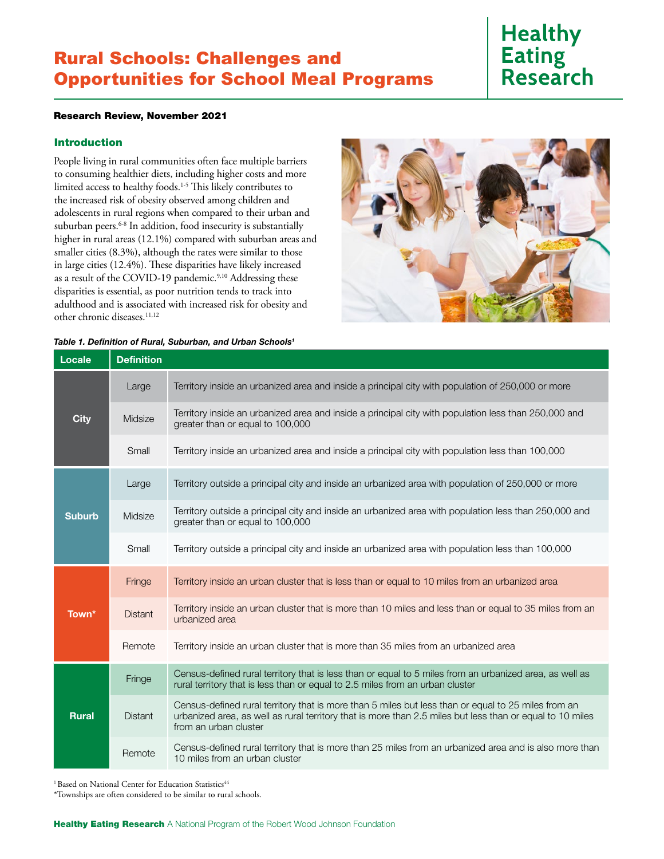## Rural Schools: Challenges and Opportunities for School Meal Programs

# **Healthy Eating Research**

## Research Review, November 2021

## Introduction

People living in rural communities often face multiple barriers to consuming healthier diets, including higher costs and more limited access to healthy foods.1-5 This likely contributes to the increased risk of obesity observed among children and adolescents in rural regions when compared to their urban and suburban peers.<sup>6-8</sup> In addition, food insecurity is substantially higher in rural areas (12.1%) compared with suburban areas and smaller cities (8.3%), although the rates were similar to those in large cities (12.4%). These disparities have likely increased as a result of the COVID-19 pandemic.<sup>9,10</sup> Addressing these disparities is essential, as poor nutrition tends to track into adulthood and is associated with increased risk for obesity and other chronic diseases.<sup>11,12</sup>

| Table 1. Definition of Rural, Suburban, and Urban Schools <sup>1</sup> |                   |                                                                                                                                                                                                                                           |
|------------------------------------------------------------------------|-------------------|-------------------------------------------------------------------------------------------------------------------------------------------------------------------------------------------------------------------------------------------|
| Locale                                                                 | <b>Definition</b> |                                                                                                                                                                                                                                           |
| <b>City</b>                                                            | Large             | Territory inside an urbanized area and inside a principal city with population of 250,000 or more                                                                                                                                         |
|                                                                        | Midsize           | Territory inside an urbanized area and inside a principal city with population less than 250,000 and<br>greater than or equal to 100,000                                                                                                  |
|                                                                        | Small             | Territory inside an urbanized area and inside a principal city with population less than 100,000                                                                                                                                          |
| <b>Suburb</b>                                                          | Large             | Territory outside a principal city and inside an urbanized area with population of 250,000 or more                                                                                                                                        |
|                                                                        | Midsize           | Territory outside a principal city and inside an urbanized area with population less than 250,000 and<br>greater than or equal to 100,000                                                                                                 |
|                                                                        | Small             | Territory outside a principal city and inside an urbanized area with population less than 100,000                                                                                                                                         |
| Town*                                                                  | Fringe            | Territory inside an urban cluster that is less than or equal to 10 miles from an urbanized area                                                                                                                                           |
|                                                                        | <b>Distant</b>    | Territory inside an urban cluster that is more than 10 miles and less than or equal to 35 miles from an<br>urbanized area                                                                                                                 |
|                                                                        | Remote            | Territory inside an urban cluster that is more than 35 miles from an urbanized area                                                                                                                                                       |
| <b>Rural</b>                                                           | Fringe            | Census-defined rural territory that is less than or equal to 5 miles from an urbanized area, as well as<br>rural territory that is less than or equal to 2.5 miles from an urban cluster                                                  |
|                                                                        | <b>Distant</b>    | Census-defined rural territory that is more than 5 miles but less than or equal to 25 miles from an<br>urbanized area, as well as rural territory that is more than 2.5 miles but less than or equal to 10 miles<br>from an urban cluster |
|                                                                        | Remote            | Census-defined rural territory that is more than 25 miles from an urbanized area and is also more than<br>10 miles from an urban cluster                                                                                                  |

<sup>1</sup> Based on National Center for Education Statistics<sup>44</sup>

\*Townships are often considered to be similar to rural schools.

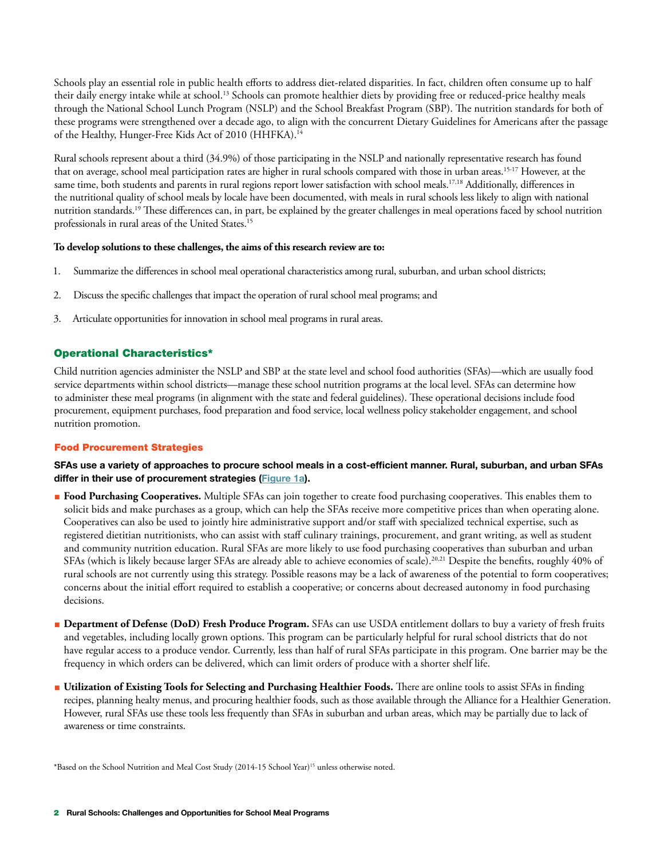Schools play an essential role in public health efforts to address diet-related disparities. In fact, children often consume up to half their daily energy intake while at school.<sup>13</sup> Schools can promote healthier diets by providing free or reduced-price healthy meals through the National School Lunch Program (NSLP) and the School Breakfast Program (SBP). The nutrition standards for both of these programs were strengthened over a decade ago, to align with the concurrent Dietary Guidelines for Americans after the passage of the Healthy, Hunger-Free Kids Act of 2010 (HHFKA).14

Rural schools represent about a third (34.9%) of those participating in the NSLP and nationally representative research has found that on average, school meal participation rates are higher in rural schools compared with those in urban areas.15-17 However, at the same time, both students and parents in rural regions report lower satisfaction with school meals.<sup>17,18</sup> Additionally, differences in the nutritional quality of school meals by locale have been documented, with meals in rural schools less likely to align with national nutrition standards.<sup>19</sup> These differences can, in part, be explained by the greater challenges in meal operations faced by school nutrition professionals in rural areas of the United States.15

## **To develop solutions to these challenges, the aims of this research review are to:**

- 1. Summarize the differences in school meal operational characteristics among rural, suburban, and urban school districts;
- 2. Discuss the specific challenges that impact the operation of rural school meal programs; and
- 3. Articulate opportunities for innovation in school meal programs in rural areas.

## Operational Characteristics\*

Child nutrition agencies administer the NSLP and SBP at the state level and school food authorities (SFAs)—which are usually food service departments within school districts—manage these school nutrition programs at the local level. SFAs can determine how to administer these meal programs (in alignment with the state and federal guidelines). These operational decisions include food procurement, equipment purchases, food preparation and food service, local wellness policy stakeholder engagement, and school nutrition promotion.

## Food Procurement Strategies

SFAs use a variety of approaches to procure school meals in a cost-efficient manner. Rural, suburban, and urban SFAs differ in their use of procurement strategies [\(Figure 1a](#page-2-0)).

- **Food Purchasing Cooperatives.** Multiple SFAs can join together to create food purchasing cooperatives. This enables them to solicit bids and make purchases as a group, which can help the SFAs receive more competitive prices than when operating alone. Cooperatives can also be used to jointly hire administrative support and/or staff with specialized technical expertise, such as registered dietitian nutritionists, who can assist with staff culinary trainings, procurement, and grant writing, as well as student and community nutrition education. Rural SFAs are more likely to use food purchasing cooperatives than suburban and urban SFAs (which is likely because larger SFAs are already able to achieve economies of scale).<sup>20,21</sup> Despite the benefits, roughly 40% of rural schools are not currently using this strategy. Possible reasons may be a lack of awareness of the potential to form cooperatives; concerns about the initial effort required to establish a cooperative; or concerns about decreased autonomy in food purchasing decisions.
- **Department of Defense (DoD) Fresh Produce Program.** SFAs can use USDA entitlement dollars to buy a variety of fresh fruits and vegetables, including locally grown options. This program can be particularly helpful for rural school districts that do not have regular access to a produce vendor. Currently, less than half of rural SFAs participate in this program. One barrier may be the frequency in which orders can be delivered, which can limit orders of produce with a shorter shelf life.
- **Utilization of Existing Tools for Selecting and Purchasing Healthier Foods.** There are online tools to assist SFAs in finding recipes, planning healty menus, and procuring healthier foods, such as those available through the Alliance for a Healthier Generation. However, rural SFAs use these tools less frequently than SFAs in suburban and urban areas, which may be partially due to lack of awareness or time constraints.

\*Based on the School Nutrition and Meal Cost Study (2014-15 School Year)15 unless otherwise noted.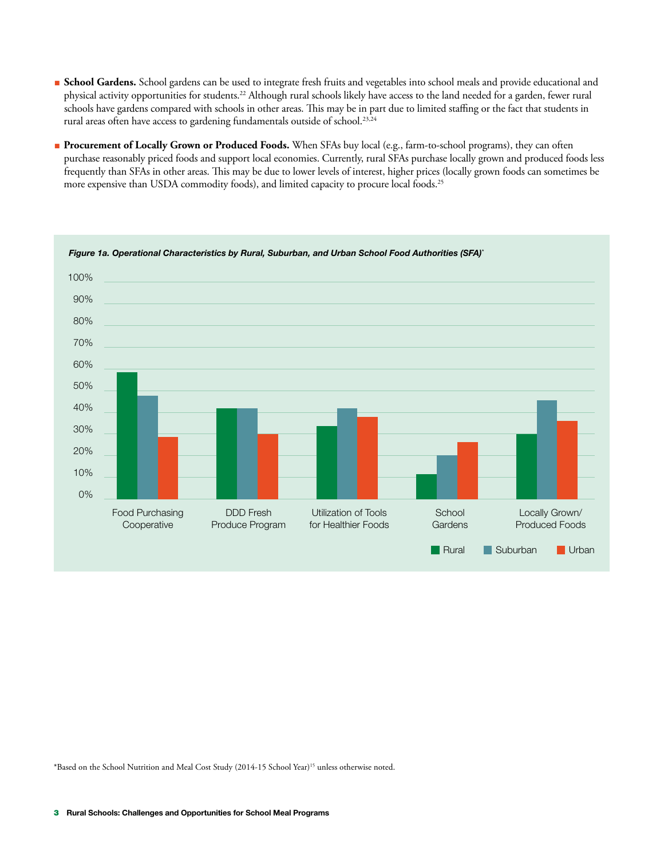- <span id="page-2-0"></span>**Beckool Gardens.** School gardens can be used to integrate fresh fruits and vegetables into school meals and provide educational and physical activity opportunities for students.<sup>22</sup> Although rural schools likely have access to the land needed for a garden, fewer rural schools have gardens compared with schools in other areas. This may be in part due to limited staffing or the fact that students in rural areas often have access to gardening fundamentals outside of school.<sup>23,24</sup>
- **Procurement of Locally Grown or Produced Foods.** When SFAs buy local (e.g., farm-to-school programs), they can often purchase reasonably priced foods and support local economies. Currently, rural SFAs purchase locally grown and produced foods less frequently than SFAs in other areas. This may be due to lower levels of interest, higher prices (locally grown foods can sometimes be more expensive than USDA commodity foods), and limited capacity to procure local foods.25



\*Based on the School Nutrition and Meal Cost Study (2014-15 School Year)15 unless otherwise noted.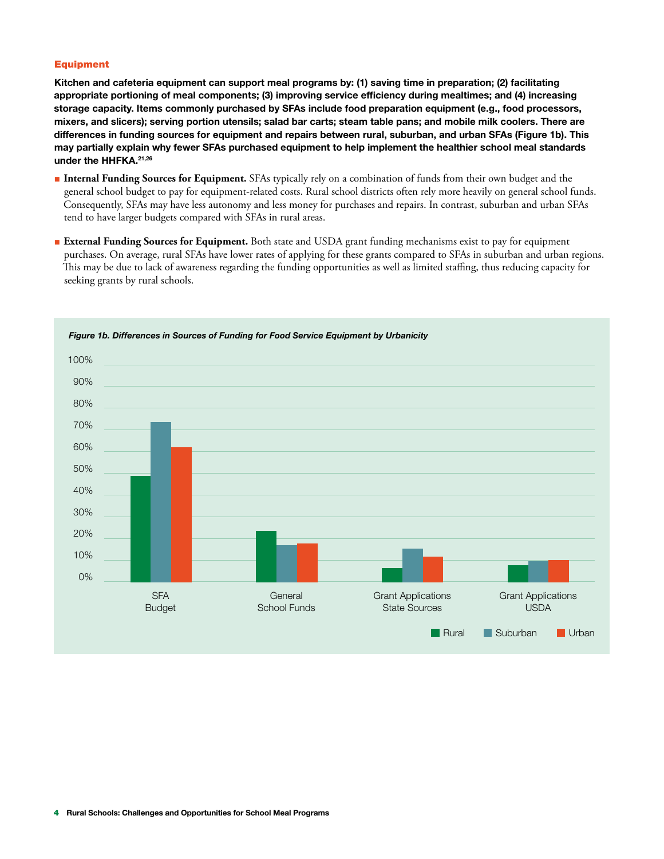#### Equipment

Kitchen and cafeteria equipment can support meal programs by: (1) saving time in preparation; (2) facilitating appropriate portioning of meal components; (3) improving service efficiency during mealtimes; and (4) increasing storage capacity. Items commonly purchased by SFAs include food preparation equipment (e.g., food processors, mixers, and slicers); serving portion utensils; salad bar carts; steam table pans; and mobile milk coolers. There are differences in funding sources for equipment and repairs between rural, suburban, and urban SFAs (Figure 1b). This may partially explain why fewer SFAs purchased equipment to help implement the healthier school meal standards under the HHFKA.21,26

- **Internal Funding Sources for Equipment.** SFAs typically rely on a combination of funds from their own budget and the general school budget to pay for equipment-related costs. Rural school districts often rely more heavily on general school funds. Consequently, SFAs may have less autonomy and less money for purchases and repairs. In contrast, suburban and urban SFAs tend to have larger budgets compared with SFAs in rural areas.
- **External Funding Sources for Equipment.** Both state and USDA grant funding mechanisms exist to pay for equipment purchases. On average, rural SFAs have lower rates of applying for these grants compared to SFAs in suburban and urban regions. This may be due to lack of awareness regarding the funding opportunities as well as limited staffing, thus reducing capacity for seeking grants by rural schools.



*Figure 1b. Differences in Sources of Funding for Food Service Equipment by Urbanicity*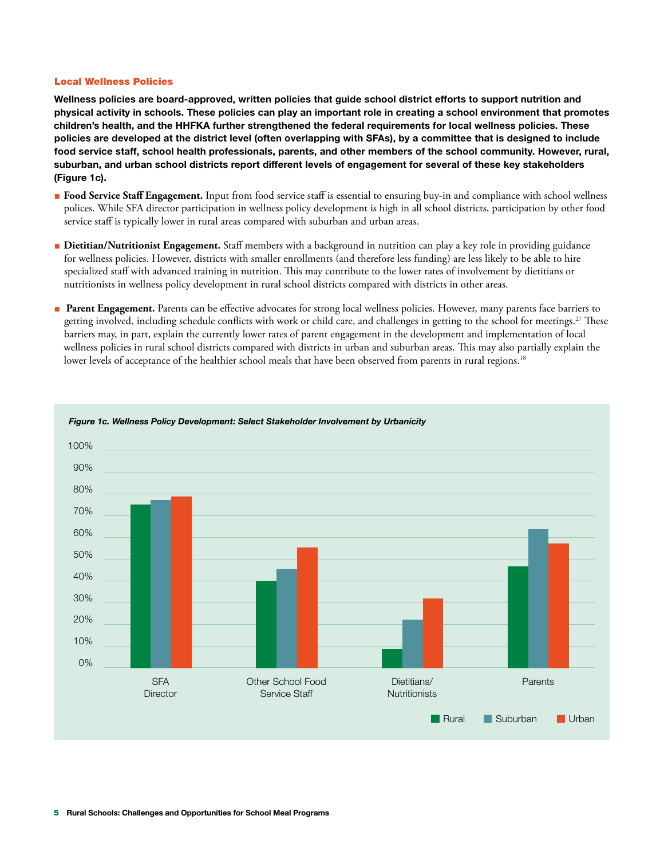#### Local Wellness Policies

Wellness policies are board-approved, written policies that guide school district efforts to support nutrition and physical activity in schools. These policies can play an important role in creating a school environment that promotes children's health, and the HHFKA further strengthened the federal requirements for local wellness policies. These policies are developed at the district level (often overlapping with SFAs), by a committee that is designed to include food service staff, school health professionals, parents, and other members of the school community. However, rural, suburban, and urban school districts report different levels of engagement for several of these key stakeholders (Figure 1c).

- **Food Service Staff Engagement.** Input from food service staff is essential to ensuring buy-in and compliance with school wellness polices. While SFA director participation in wellness policy development is high in all school districts, participation by other food service staff is typically lower in rural areas compared with suburban and urban areas.
- **Dietitian/Nutritionist Engagement.** Staff members with a background in nutrition can play a key role in providing guidance for wellness policies. However, districts with smaller enrollments (and therefore less funding) are less likely to be able to hire specialized staff with advanced training in nutrition. This may contribute to the lower rates of involvement by dietitians or nutritionists in wellness policy development in rural school districts compared with districts in other areas.
- **Parent Engagement.** Parents can be effective advocates for strong local wellness policies. However, many parents face barriers to getting involved, including schedule conflicts with work or child care, and challenges in getting to the school for meetings.<sup>27</sup> These barriers may, in part, explain the currently lower rates of parent engagement in the development and implementation of local wellness policies in rural school districts compared with districts in urban and suburban areas. This may also partially explain the lower levels of acceptance of the healthier school meals that have been observed from parents in rural regions.<sup>18</sup>



#### *Figure 1c. Wellness Policy Development: Select Stakeholder Involvement by Urbanicity*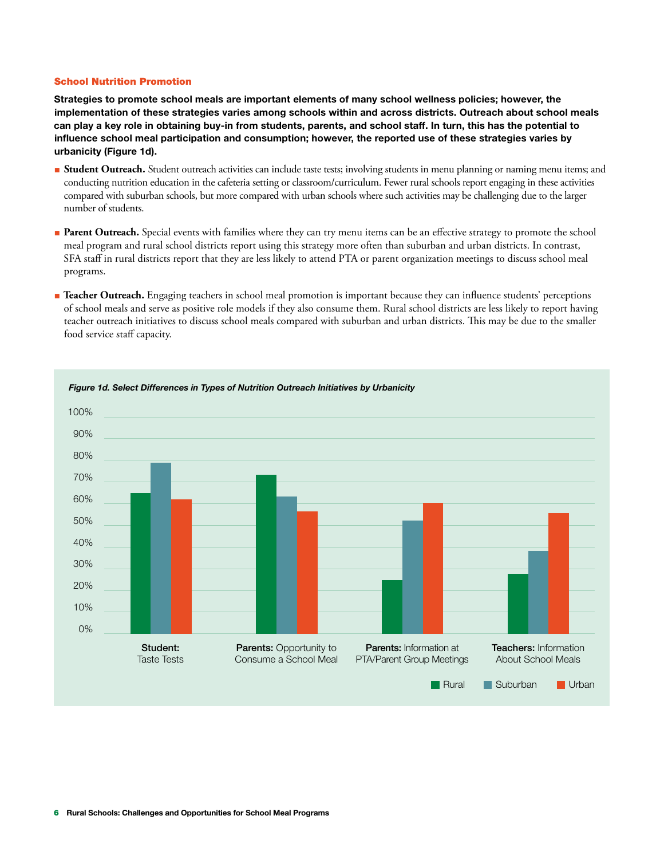#### School Nutrition Promotion

Strategies to promote school meals are important elements of many school wellness policies; however, the implementation of these strategies varies among schools within and across districts. Outreach about school meals can play a key role in obtaining buy-in from students, parents, and school staff. In turn, this has the potential to influence school meal participation and consumption; however, the reported use of these strategies varies by urbanicity (Figure 1d).

- **Student Outreach.** Student outreach activities can include taste tests; involving students in menu planning or naming menu items; and conducting nutrition education in the cafeteria setting or classroom/curriculum. Fewer rural schools report engaging in these activities compared with suburban schools, but more compared with urban schools where such activities may be challenging due to the larger number of students.
- **Parent Outreach.** Special events with families where they can try menu items can be an effective strategy to promote the school meal program and rural school districts report using this strategy more often than suburban and urban districts. In contrast, SFA staff in rural districts report that they are less likely to attend PTA or parent organization meetings to discuss school meal programs.
- **Teacher Outreach.** Engaging teachers in school meal promotion is important because they can influence students' perceptions of school meals and serve as positive role models if they also consume them. Rural school districts are less likely to report having teacher outreach initiatives to discuss school meals compared with suburban and urban districts. This may be due to the smaller food service staff capacity.

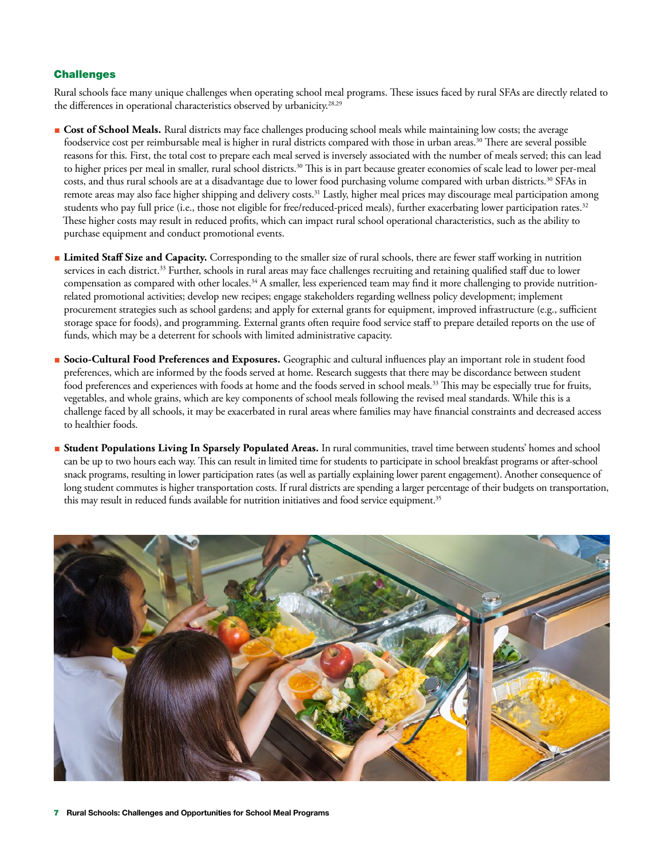## **Challenges**

Rural schools face many unique challenges when operating school meal programs. These issues faced by rural SFAs are directly related to the differences in operational characteristics observed by urbanicity.<sup>28,29</sup>

- **Cost of School Meals.** Rural districts may face challenges producing school meals while maintaining low costs; the average foodservice cost per reimbursable meal is higher in rural districts compared with those in urban areas.<sup>30</sup> There are several possible reasons for this. First, the total cost to prepare each meal served is inversely associated with the number of meals served; this can lead to higher prices per meal in smaller, rural school districts.<sup>30</sup> This is in part because greater economies of scale lead to lower per-meal costs, and thus rural schools are at a disadvantage due to lower food purchasing volume compared with urban districts.30 SFAs in remote areas may also face higher shipping and delivery costs.<sup>31</sup> Lastly, higher meal prices may discourage meal participation among students who pay full price (i.e., those not eligible for free/reduced-priced meals), further exacerbating lower participation rates.<sup>32</sup> These higher costs may result in reduced profits, which can impact rural school operational characteristics, such as the ability to purchase equipment and conduct promotional events.
- **Limited Staff Size and Capacity.** Corresponding to the smaller size of rural schools, there are fewer staff working in nutrition services in each district.<sup>33</sup> Further, schools in rural areas may face challenges recruiting and retaining qualified staff due to lower compensation as compared with other locales.<sup>34</sup> A smaller, less experienced team may find it more challenging to provide nutritionrelated promotional activities; develop new recipes; engage stakeholders regarding wellness policy development; implement procurement strategies such as school gardens; and apply for external grants for equipment, improved infrastructure (e.g., sufficient storage space for foods), and programming. External grants often require food service staff to prepare detailed reports on the use of funds, which may be a deterrent for schools with limited administrative capacity.
- **Socio-Cultural Food Preferences and Exposures.** Geographic and cultural influences play an important role in student food preferences, which are informed by the foods served at home. Research suggests that there may be discordance between student food preferences and experiences with foods at home and the foods served in school meals.<sup>33</sup> This may be especially true for fruits, vegetables, and whole grains, which are key components of school meals following the revised meal standards. While this is a challenge faced by all schools, it may be exacerbated in rural areas where families may have financial constraints and decreased access to healthier foods.
- **Student Populations Living In Sparsely Populated Areas.** In rural communities, travel time between students' homes and school can be up to two hours each way. This can result in limited time for students to participate in school breakfast programs or after-school snack programs, resulting in lower participation rates (as well as partially explaining lower parent engagement). Another consequence of long student commutes is higher transportation costs. If rural districts are spending a larger percentage of their budgets on transportation, this may result in reduced funds available for nutrition initiatives and food service equipment.<sup>35</sup>

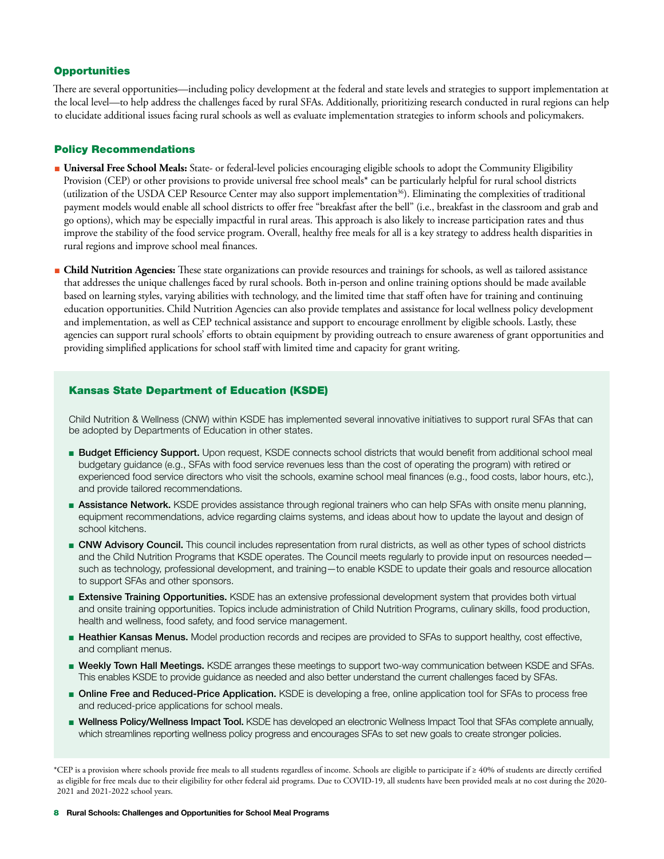## **Opportunities**

There are several opportunities—including policy development at the federal and state levels and strategies to support implementation at the local level—to help address the challenges faced by rural SFAs. Additionally, prioritizing research conducted in rural regions can help to elucidate additional issues facing rural schools as well as evaluate implementation strategies to inform schools and policymakers.

## Policy Recommendations

- **Universal Free School Meals:** State- or federal-level policies encouraging eligible schools to adopt the Community Eligibility Provision (CEP) or other provisions to provide universal free school meals\* can be particularly helpful for rural school districts (utilization of the USDA CEP Resource Center may also support implementation36). Eliminating the complexities of traditional payment models would enable all school districts to offer free "breakfast after the bell" (i.e., breakfast in the classroom and grab and go options), which may be especially impactful in rural areas. This approach is also likely to increase participation rates and thus improve the stability of the food service program. Overall, healthy free meals for all is a key strategy to address health disparities in rural regions and improve school meal finances.
- **Child Nutrition Agencies:** These state organizations can provide resources and trainings for schools, as well as tailored assistance that addresses the unique challenges faced by rural schools. Both in-person and online training options should be made available based on learning styles, varying abilities with technology, and the limited time that staff often have for training and continuing education opportunities. Child Nutrition Agencies can also provide templates and assistance for local wellness policy development and implementation, as well as CEP technical assistance and support to encourage enrollment by eligible schools. Lastly, these agencies can support rural schools' efforts to obtain equipment by providing outreach to ensure awareness of grant opportunities and providing simplified applications for school staff with limited time and capacity for grant writing.

## Kansas State Department of Education (KSDE)

Child Nutrition & Wellness (CNW) within KSDE has implemented several innovative initiatives to support rural SFAs that can be adopted by Departments of Education in other states.

- Budget Efficiency Support. Upon request, KSDE connects school districts that would benefit from additional school meal budgetary guidance (e.g., SFAs with food service revenues less than the cost of operating the program) with retired or experienced food service directors who visit the schools, examine school meal finances (e.g., food costs, labor hours, etc.), and provide tailored recommendations.
- Assistance Network. KSDE provides assistance through regional trainers who can help SFAs with onsite menu planning, equipment recommendations, advice regarding claims systems, and ideas about how to update the layout and design of school kitchens.
- CNW Advisory Council. This council includes representation from rural districts, as well as other types of school districts and the Child Nutrition Programs that KSDE operates. The Council meets regularly to provide input on resources needed such as technology, professional development, and training—to enable KSDE to update their goals and resource allocation to support SFAs and other sponsors.
- **Extensive Training Opportunities.** KSDE has an extensive professional development system that provides both virtual and onsite training opportunities. Topics include administration of Child Nutrition Programs, culinary skills, food production, health and wellness, food safety, and food service management.
- **Heathier Kansas Menus.** Model production records and recipes are provided to SFAs to support healthy, cost effective, and compliant menus.
- **Weekly Town Hall Meetings.** KSDE arranges these meetings to support two-way communication between KSDE and SFAs. This enables KSDE to provide guidance as needed and also better understand the current challenges faced by SFAs.
- Online Free and Reduced-Price Application. KSDE is developing a free, online application tool for SFAs to process free and reduced-price applications for school meals.
- Wellness Policy/Wellness Impact Tool. KSDE has developed an electronic Wellness Impact Tool that SFAs complete annually, which streamlines reporting wellness policy progress and encourages SFAs to set new goals to create stronger policies.

\*CEP is a provision where schools provide free meals to all students regardless of income. Schools are eligible to participate if ≥ 40% of students are directly certified as eligible for free meals due to their eligibility for other federal aid programs. Due to COVID-19, all students have been provided meals at no cost during the 2020- 2021 and 2021-2022 school years.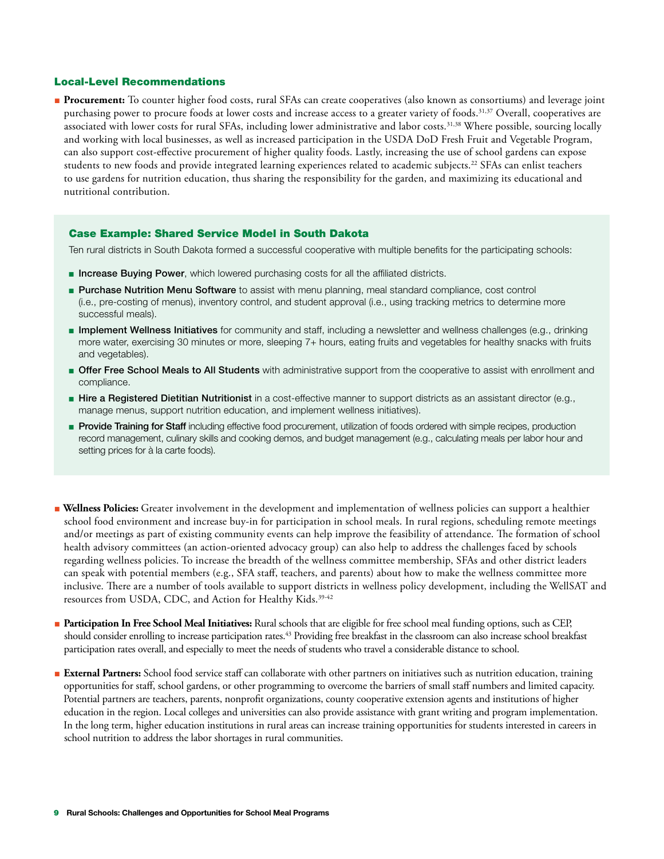## Local-Level Recommendations

■ **Procurement:** To counter higher food costs, rural SFAs can create cooperatives (also known as consortiums) and leverage joint purchasing power to procure foods at lower costs and increase access to a greater variety of foods.<sup>31,37</sup> Overall, cooperatives are associated with lower costs for rural SFAs, including lower administrative and labor costs.<sup>31,38</sup> Where possible, sourcing locally and working with local businesses, as well as increased participation in the USDA DoD Fresh Fruit and Vegetable Program, can also support cost-effective procurement of higher quality foods. Lastly, increasing the use of school gardens can expose students to new foods and provide integrated learning experiences related to academic subjects.<sup>22</sup> SFAs can enlist teachers to use gardens for nutrition education, thus sharing the responsibility for the garden, and maximizing its educational and nutritional contribution.

## Case Example: Shared Service Model in South Dakota

Ten rural districts in South Dakota formed a successful cooperative with multiple benefits for the participating schools:

- **Increase Buying Power**, which lowered purchasing costs for all the affiliated districts.
- Purchase Nutrition Menu Software to assist with menu planning, meal standard compliance, cost control (i.e., pre-costing of menus), inventory control, and student approval (i.e., using tracking metrics to determine more successful meals).
- Implement Wellness Initiatives for community and staff, including a newsletter and wellness challenges (e.g., drinking more water, exercising 30 minutes or more, sleeping 7+ hours, eating fruits and vegetables for healthy snacks with fruits and vegetables).
- **Offer Free School Meals to All Students** with administrative support from the cooperative to assist with enrollment and compliance.
- Hire a Registered Dietitian Nutritionist in a cost-effective manner to support districts as an assistant director (e.g., manage menus, support nutrition education, and implement wellness initiatives).
- **Provide Training for Staff** including effective food procurement, utilization of foods ordered with simple recipes, production record management, culinary skills and cooking demos, and budget management (e.g., calculating meals per labor hour and setting prices for à la carte foods).
- **Wellness Policies:** Greater involvement in the development and implementation of wellness policies can support a healthier school food environment and increase buy-in for participation in school meals. In rural regions, scheduling remote meetings and/or meetings as part of existing community events can help improve the feasibility of attendance. The formation of school health advisory committees (an action-oriented advocacy group) can also help to address the challenges faced by schools regarding wellness policies. To increase the breadth of the wellness committee membership, SFAs and other district leaders can speak with potential members (e.g., SFA staff, teachers, and parents) about how to make the wellness committee more inclusive. There are a number of tools available to support districts in wellness policy development, including the WellSAT and resources from USDA, CDC, and Action for Healthy Kids.<sup>39-42</sup>
- **Participation In Free School Meal Initiatives:** Rural schools that are eligible for free school meal funding options, such as CEP, should consider enrolling to increase participation rates.<sup>43</sup> Providing free breakfast in the classroom can also increase school breakfast participation rates overall, and especially to meet the needs of students who travel a considerable distance to school.
- **External Partners:** School food service staff can collaborate with other partners on initiatives such as nutrition education, training opportunities for staff, school gardens, or other programming to overcome the barriers of small staff numbers and limited capacity. Potential partners are teachers, parents, nonprofit organizations, county cooperative extension agents and institutions of higher education in the region. Local colleges and universities can also provide assistance with grant writing and program implementation. In the long term, higher education institutions in rural areas can increase training opportunities for students interested in careers in school nutrition to address the labor shortages in rural communities.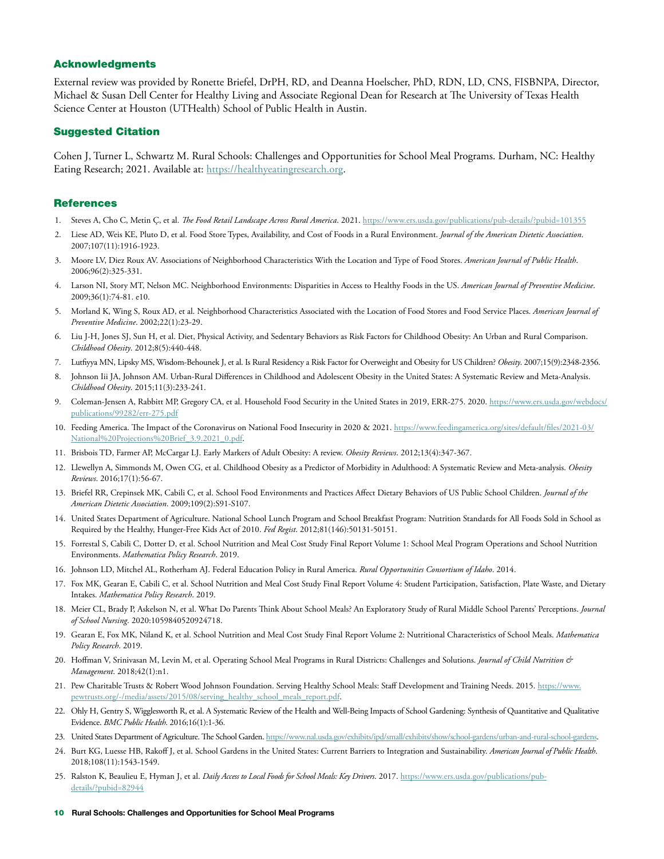#### Acknowledgments

External review was provided by Ronette Briefel, DrPH, RD, and Deanna Hoelscher, PhD, RDN, LD, CNS, FISBNPA, Director, Michael & Susan Dell Center for Healthy Living and Associate Regional Dean for Research at The University of Texas Health Science Center at Houston (UTHealth) School of Public Health in Austin.

#### Suggested Citation

Cohen J, Turner L, Schwartz M. Rural Schools: Challenges and Opportunities for School Meal Programs. Durham, NC: Healthy Eating Research; 2021. Available at:<https://healthyeatingresearch.org>.

## References

- 1. Steves A, Cho C, Metin Ç, et al. *The Food Retail Landscape Across Rural America*. 2021. <https://www.ers.usda.gov/publications/pub-details/?pubid=101355>
- 2. Liese AD, Weis KE, Pluto D, et al. Food Store Types, Availability, and Cost of Foods in a Rural Environment. *Journal of the American Dietetic Association*. 2007;107(11):1916-1923.
- 3. Moore LV, Diez Roux AV. Associations of Neighborhood Characteristics With the Location and Type of Food Stores. *American Journal of Public Health*. 2006;96(2):325-331.
- 4. Larson NI, Story MT, Nelson MC. Neighborhood Environments: Disparities in Access to Healthy Foods in the US. *American Journal of Preventive Medicine*. 2009;36(1):74-81. e10.
- 5. Morland K, Wing S, Roux AD, et al. Neighborhood Characteristics Associated with the Location of Food Stores and Food Service Places. *American Journal of Preventive Medicine*. 2002;22(1):23-29.
- 6. Liu J-H, Jones SJ, Sun H, et al. Diet, Physical Activity, and Sedentary Behaviors as Risk Factors for Childhood Obesity: An Urban and Rural Comparison. *Childhood Obesity*. 2012;8(5):440-448.
- 7. Lutfiyya MN, Lipsky MS, Wisdom‐Behounek J, et al. Is Rural Residency a Risk Factor for Overweight and Obesity for US Children? *Obesity*. 2007;15(9):2348-2356.
- 8. Johnson Iii JA, Johnson AM. Urban-Rural Differences in Childhood and Adolescent Obesity in the United States: A Systematic Review and Meta-Analysis. *Childhood Obesity*. 2015;11(3):233-241.
- 9. Coleman-Jensen A, Rabbitt MP, Gregory CA, et al. Household Food Security in the United States in 2019, ERR-275. 2020. [https://www.ers.usda.gov/webdocs/](https://www.ers.usda.gov/webdocs/publications/99282/err-275.pdf) [publications/99282/err-275.pdf](https://www.ers.usda.gov/webdocs/publications/99282/err-275.pdf)
- 10. Feeding America. The Impact of the Coronavirus on National Food Insecurity in 2020 & 2021. [https://www.feedingamerica.org/sites/default/files/2021-03/](https://www.feedingamerica.org/sites/default/files/2021-03/National%20Projections%20Brief_3.9.2021_0.pdf) [National%20Projections%20Brief\\_3.9.2021\\_0.pdf.](https://www.feedingamerica.org/sites/default/files/2021-03/National%20Projections%20Brief_3.9.2021_0.pdf)
- 11. Brisbois TD, Farmer AP, McCargar LJ. Early Markers of Adult Obesity: A review. *Obesity Reviews*. 2012;13(4):347-367.
- 12. Llewellyn A, Simmonds M, Owen CG, et al. Childhood Obesity as a Predictor of Morbidity in Adulthood: A Systematic Review and Meta‐analysis. *Obesity Reviews*. 2016;17(1):56-67.
- 13. Briefel RR, Crepinsek MK, Cabili C, et al. School Food Environments and Practices Affect Dietary Behaviors of US Public School Children. *Journal of the American Dietetic Association*. 2009;109(2):S91-S107.
- 14. United States Department of Agriculture. National School Lunch Program and School Breakfast Program: Nutrition Standards for All Foods Sold in School as Required by the Healthy, Hunger-Free Kids Act of 2010. *Fed Regist*. 2012;81(146):50131-50151.
- 15. Forrestal S, Cabili C, Dotter D, et al. School Nutrition and Meal Cost Study Final Report Volume 1: School Meal Program Operations and School Nutrition Environments. *Mathematica Policy Research*. 2019.
- 16. Johnson LD, Mitchel AL, Rotherham AJ. Federal Education Policy in Rural America. *Rural Opportunities Consortium of Idaho*. 2014.
- 17. Fox MK, Gearan E, Cabili C, et al. School Nutrition and Meal Cost Study Final Report Volume 4: Student Participation, Satisfaction, Plate Waste, and Dietary Intakes. *Mathematica Policy Research*. 2019.
- 18. Meier CL, Brady P, Askelson N, et al. What Do Parents Think About School Meals? An Exploratory Study of Rural Middle School Parents' Perceptions. *Journal of School Nursing*. 2020:1059840520924718.
- 19. Gearan E, Fox MK, Niland K, et al. School Nutrition and Meal Cost Study Final Report Volume 2: Nutritional Characteristics of School Meals. *Mathematica Policy Research*. 2019.
- 20. Hoffman V, Srinivasan M, Levin M, et al. Operating School Meal Programs in Rural Districts: Challenges and Solutions. *Journal of Child Nutrition & Management*. 2018;42(1):n1.
- 21. Pew Charitable Trusts & Robert Wood Johnson Foundation. Serving Healthy School Meals: Staff Development and Training Needs. 2015. [https://www.](https://www.pewtrusts.org/-/media/assets/2015/08/serving_healthy_school_meals_report.pdf) [pewtrusts.org/-/media/assets/2015/08/serving\\_healthy\\_school\\_meals\\_report.pdf](https://www.pewtrusts.org/-/media/assets/2015/08/serving_healthy_school_meals_report.pdf).
- 22. Ohly H, Gentry S, Wigglesworth R, et al. A Systematic Review of the Health and Well-Being Impacts of School Gardening: Synthesis of Quantitative and Qualitative Evidence. *BMC Public Health*. 2016;16(1):1-36.
- 23. United States Department of Agriculture. The School Garden.<https://www.nal.usda.gov/exhibits/ipd/small/exhibits/show/school-gardens/urban-and-rural-school-gardens>.
- 24. Burt KG, Luesse HB, Rakoff J, et al. School Gardens in the United States: Current Barriers to Integration and Sustainability. *American Journal of Public Health*. 2018;108(11):1543-1549.
- 25. Ralston K, Beaulieu E, Hyman J, et al. *Daily Access to Local Foods for School Meals: Key Drivers*. 2017. [https://www.ers.usda.gov/publications/pub](https://www.ers.usda.gov/publications/pub-details/?pubid=82944)[details/?pubid=82944](https://www.ers.usda.gov/publications/pub-details/?pubid=82944)